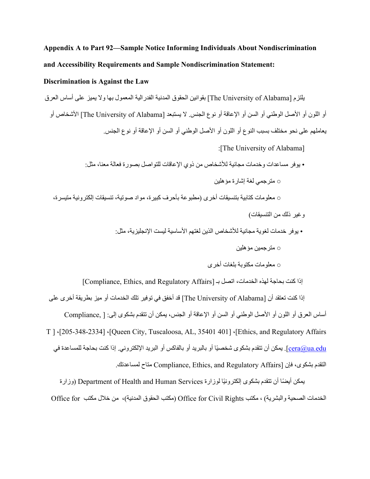## **Appendix A to Part 92—Sample Notice Informing Individuals About Nondiscrimination and Accessibility Requirements and Sample Nondiscrimination Statement:**

## **Discrimination is Against the Law**

یلتزم [Alabama of University The [بقوانین الحقوق المدنیة الفدرالیة المعمول بھا ولا یمیز على أساس العرق أو اللون أو الأصل الوطني أو السن أو الإعاقة أو نوع الجنس. لا یستبعد [Alabama of University The [الأشخاص أو یعاملھم على نحو مختلف بسبب النوع أو اللون أو الأصل الوطني أو السن أو الإعاقة أو نوع الجنس. :[The University of Alabama] • یوفر مساعدات وخدمات مجانیة للأشخاص من ذوي الإعاقات للتواصل بصورة فعالة معنا، مثل: ○ مترجمي لغة إشارة مؤھلین ○ معلومات كتابیة بتنسیقات أخرى (مطبوعة بأحرف كبیرة، مواد صوتیة، تنسیقات إلكترونیة متیسرة، وغیر ذلك من التنسیقات) • یوفر خدمات لغویة مجانیة للأشخاص الذین لغتھم الأساسیة لیست الإنجلیزیة، مثل: ○ مترجمین مؤھلین ○ معلومات مكتوبة بلغات أخرى إذا كنت بحاجة لهذه الخدمات، اتصل بـ [Compliance, Ethics, and Regulatory Affairs]

إذا كنت تعتقد أن [Alabama of University The [قد أخفق في توفیر تلك الخدمات أو میز بطریقة أخرى على أساس العرق أو اللون أو الأصل الوطني أو السن أو الإعاقة أو الجنس، یمكن أن تتقدم بشكوى إلى: [ ,Compliance T ] ،[205-348-2334] ،[Queen City, Tuscaloosa, AL, 35401 401 ] ،[Ethics, and Regulatory Affairs c<u>era@ua.edu ]</u>. يمكن أن تتقدم بشكوى شخصيًا أو بالبريد أو بالفاكس أو البريد الإلكتروني. إذا كنت بحاجة للمساعدة في التقدم بشكوى، فإن [Compliance, Ethics, and Regulatory Affairs متاح لمساعدتك.

يمكن أيضًا أن تتقدم بشكوى الكترونيًا لوزارة Department of Health and Human Services (وزارة الخدمات الصحیة والبشریة) ، مكتب Rights Civil for Office) مكتب الحقوق المدنیة)، من خلال مكتب for Office